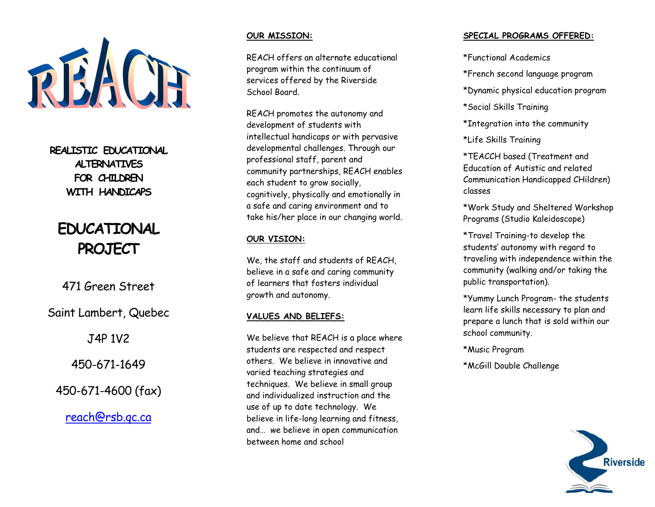

**REALISTIC EDUCATIONAL ALTERNATIVES FOR CHILDREN WITH HANDICAPS** 

# **EDUCATIONAL PROJECT**

471 Green Street

Saint Lambert, Quebec

J4P 1V2

450-671-1649

450-671-4600 (fax)

reach@rsb.qc.ca

#### **OUR MISSION:**

REACH offers an alternate educational program within the continuum of services offered by the Riverside School Board.

REACH promotes the autonomy and development of students with intellectual handicaps or with pervasive developmental challenges. Through our professional staff, parent and community partnerships, REACH enables each student to grow socially, cognitively, physically and emotionally in a safe and caring environment and to take his/her place in our changing world.

## **OUR VISION:**

We, the staff and students of REACH, believe in a safe and caring community of learners that fosters individual growth and autonomy.

## **VALUES AND BELIEFS:**

We believe that REACH is a place where students are respected and respect others. We believe in innovative and varied teaching strategies and techniques. We believe in small group and individualized instruction and the use of up to date technology. We believe in life-long learning and fitness, and… we believe in open communication between home and school

## **SPECIAL PROGRAMS OFFERED:**

\*Functional Academics

\*French second language program

\*Dynamic physical education program

\*Social Skills Training

\*Integration into the community

\*Life Skills Training

\*TEACCH based (Treatment and Education of Autistic and related Communication Handicapped CHildren) classes

\*Work Study and Sheltered Workshop Programs (Studio Kaleidoscope)

\*Travel Training-to develop the students' autonomy with regard to traveling with independence within the community (walking and/or taking the public transportation).

\*Yummy Lunch Program- the students learn life skills necessary to plan and prepare a lunch that is sold within our school community.

\*Music Program

\*McGill Double Challenge